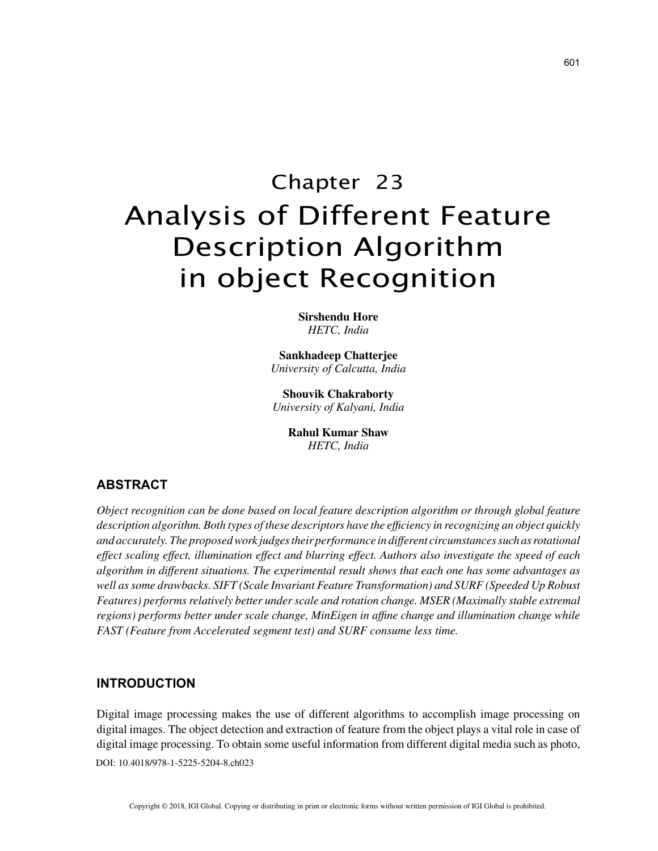# Chapter 23 Analysis of Different Feature Description Algorithm in object Recognition

**Sirshendu Hore** *HETC, India*

**Sankhadeep Chatterjee** *University of Calcutta, India*

**Shouvik Chakraborty** *University of Kalyani, India*

> **Rahul Kumar Shaw** *HETC, India*

# **ABSTRACT**

*Object recognition can be done based on local feature description algorithm or through global feature description algorithm. Both types of these descriptors have the efficiency in recognizing an object quickly and accurately. The proposed work judges their performance in different circumstances such as rotational effect scaling effect, illumination effect and blurring effect. Authors also investigate the speed of each algorithm in different situations. The experimental result shows that each one has some advantages as well as some drawbacks. SIFT (Scale Invariant Feature Transformation) and SURF (Speeded Up Robust Features) performs relatively better under scale and rotation change. MSER (Maximally stable extremal regions) performs better under scale change, MinEigen in affine change and illumination change while FAST (Feature from Accelerated segment test) and SURF consume less time.*

### **INTRODUCTION**

DOI: 10.4018/978-1-5225-5204-8.ch023 Digital image processing makes the use of different algorithms to accomplish image processing on digital images. The object detection and extraction of feature from the object plays a vital role in case of digital image processing. To obtain some useful information from different digital media such as photo,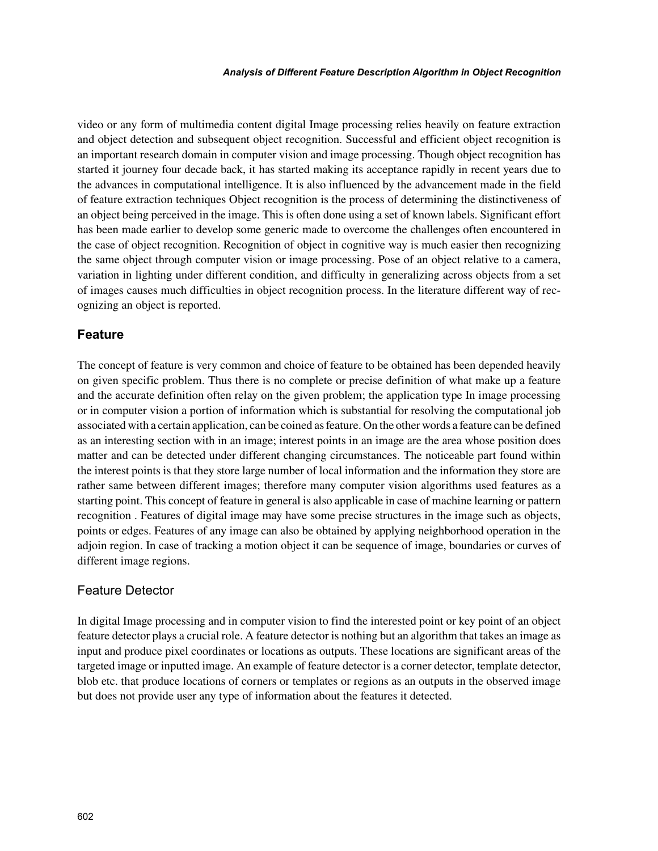video or any form of multimedia content digital Image processing relies heavily on feature extraction and object detection and subsequent object recognition. Successful and efficient object recognition is an important research domain in computer vision and image processing. Though object recognition has started it journey four decade back, it has started making its acceptance rapidly in recent years due to the advances in computational intelligence. It is also influenced by the advancement made in the field of feature extraction techniques Object recognition is the process of determining the distinctiveness of an object being perceived in the image. This is often done using a set of known labels. Significant effort has been made earlier to develop some generic made to overcome the challenges often encountered in the case of object recognition. Recognition of object in cognitive way is much easier then recognizing the same object through computer vision or image processing. Pose of an object relative to a camera, variation in lighting under different condition, and difficulty in generalizing across objects from a set of images causes much difficulties in object recognition process. In the literature different way of recognizing an object is reported.

## **Feature**

The concept of feature is very common and choice of feature to be obtained has been depended heavily on given specific problem. Thus there is no complete or precise definition of what make up a feature and the accurate definition often relay on the given problem; the application type In image processing or in computer vision a portion of information which is substantial for resolving the computational job associated with a certain application, can be coined as feature. On the other words a feature can be defined as an interesting section with in an image; interest points in an image are the area whose position does matter and can be detected under different changing circumstances. The noticeable part found within the interest points is that they store large number of local information and the information they store are rather same between different images; therefore many computer vision algorithms used features as a starting point. This concept of feature in general is also applicable in case of machine learning or pattern recognition . Features of digital image may have some precise structures in the image such as objects, points or edges. Features of any image can also be obtained by applying neighborhood operation in the adjoin region. In case of tracking a motion object it can be sequence of image, boundaries or curves of different image regions.

### Feature Detector

In digital Image processing and in computer vision to find the interested point or key point of an object feature detector plays a crucial role. A feature detector is nothing but an algorithm that takes an image as input and produce pixel coordinates or locations as outputs. These locations are significant areas of the targeted image or inputted image. An example of feature detector is a corner detector, template detector, blob etc. that produce locations of corners or templates or regions as an outputs in the observed image but does not provide user any type of information about the features it detected.